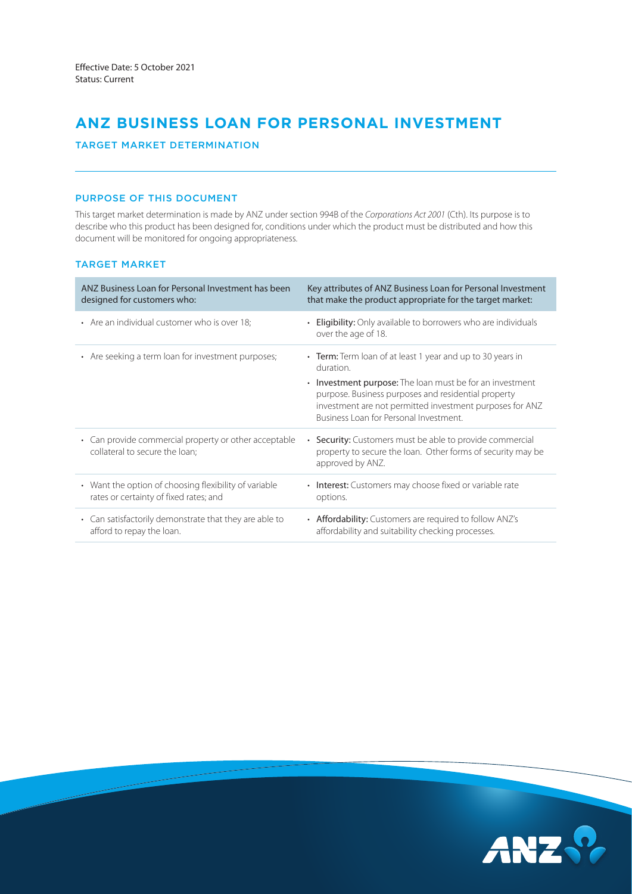# **ANZ BUSINESS LOAN FOR PERSONAL INVESTMENT**

# TARGET MARKET DETERMINATION

# PURPOSE OF THIS DOCUMENT

This target market determination is made by ANZ under section 994B of the *Corporations Act 2001* (Cth). Its purpose is to describe who this product has been designed for, conditions under which the product must be distributed and how this document will be monitored for ongoing appropriateness.

# TARGET MARKET

| ANZ Business Loan for Personal Investment has been                                      | Key attributes of ANZ Business Loan for Personal Investment                                                                                                                                                                                                                                           |
|-----------------------------------------------------------------------------------------|-------------------------------------------------------------------------------------------------------------------------------------------------------------------------------------------------------------------------------------------------------------------------------------------------------|
| designed for customers who:                                                             | that make the product appropriate for the target market:                                                                                                                                                                                                                                              |
| • Are an individual customer who is over 18:                                            | <b>Eligibility:</b> Only available to borrowers who are individuals<br>over the age of 18.                                                                                                                                                                                                            |
| • Are seeking a term loan for investment purposes;                                      | • Term: Term loan of at least 1 year and up to 30 years in<br>duration.<br><b>Investment purpose:</b> The loan must be for an investment<br>purpose. Business purposes and residential property<br>investment are not permitted investment purposes for ANZ<br>Business Loan for Personal Investment. |
| • Can provide commercial property or other acceptable<br>collateral to secure the loan: | Security: Customers must be able to provide commercial<br>$\bullet$<br>property to secure the loan. Other forms of security may be<br>approved by ANZ.                                                                                                                                                |
| • Want the option of choosing flexibility of variable                                   | • Interest: Customers may choose fixed or variable rate                                                                                                                                                                                                                                               |
| rates or certainty of fixed rates; and                                                  | options.                                                                                                                                                                                                                                                                                              |
| • Can satisfactorily demonstrate that they are able to                                  | • Affordability: Customers are required to follow ANZ's                                                                                                                                                                                                                                               |
| afford to repay the loan.                                                               | affordability and suitability checking processes.                                                                                                                                                                                                                                                     |

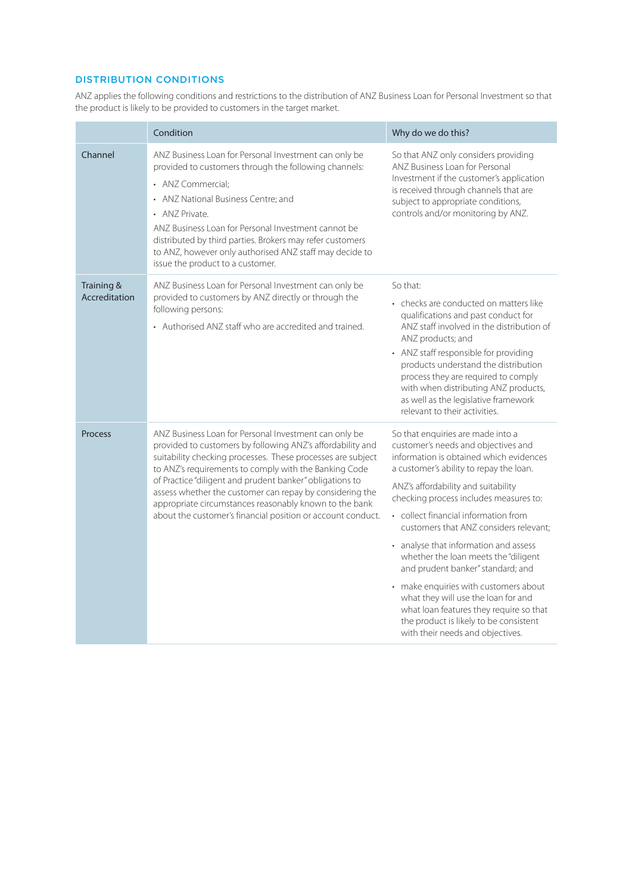# DISTRIBUTION CONDITIONS

ANZ applies the following conditions and restrictions to the distribution of ANZ Business Loan for Personal Investment so that the product is likely to be provided to customers in the target market.

|                             | Condition                                                                                                                                                                                                                                                                                                                                                                                                                                                                                    | Why do we do this?                                                                                                                                                                                                                                                                                                                                                                                                                                                                                                                                                                                                                                               |  |
|-----------------------------|----------------------------------------------------------------------------------------------------------------------------------------------------------------------------------------------------------------------------------------------------------------------------------------------------------------------------------------------------------------------------------------------------------------------------------------------------------------------------------------------|------------------------------------------------------------------------------------------------------------------------------------------------------------------------------------------------------------------------------------------------------------------------------------------------------------------------------------------------------------------------------------------------------------------------------------------------------------------------------------------------------------------------------------------------------------------------------------------------------------------------------------------------------------------|--|
| Channel                     | ANZ Business Loan for Personal Investment can only be<br>provided to customers through the following channels:<br>• ANZ Commercial;<br>• ANZ National Business Centre; and<br>• ANZ Private.<br>ANZ Business Loan for Personal Investment cannot be<br>distributed by third parties. Brokers may refer customers<br>to ANZ, however only authorised ANZ staff may decide to<br>issue the product to a customer.                                                                              | So that ANZ only considers providing<br>ANZ Business Loan for Personal<br>Investment if the customer's application<br>is received through channels that are<br>subject to appropriate conditions,<br>controls and/or monitoring by ANZ.                                                                                                                                                                                                                                                                                                                                                                                                                          |  |
| Training &<br>Accreditation | ANZ Business Loan for Personal Investment can only be<br>provided to customers by ANZ directly or through the<br>following persons:<br>• Authorised ANZ staff who are accredited and trained.                                                                                                                                                                                                                                                                                                | So that:<br>• checks are conducted on matters like<br>qualifications and past conduct for<br>ANZ staff involved in the distribution of<br>ANZ products; and<br>• ANZ staff responsible for providing<br>products understand the distribution<br>process they are required to comply<br>with when distributing ANZ products,<br>as well as the legislative framework<br>relevant to their activities.                                                                                                                                                                                                                                                             |  |
| <b>Process</b>              | ANZ Business Loan for Personal Investment can only be<br>provided to customers by following ANZ's affordability and<br>suitability checking processes. These processes are subject<br>to ANZ's requirements to comply with the Banking Code<br>of Practice "diligent and prudent banker" obligations to<br>assess whether the customer can repay by considering the<br>appropriate circumstances reasonably known to the bank<br>about the customer's financial position or account conduct. | So that enquiries are made into a<br>customer's needs and objectives and<br>information is obtained which evidences<br>a customer's ability to repay the loan.<br>ANZ's affordability and suitability<br>checking process includes measures to:<br>• collect financial information from<br>customers that ANZ considers relevant:<br>• analyse that information and assess<br>whether the loan meets the "diligent<br>and prudent banker" standard; and<br>• make enquiries with customers about<br>what they will use the loan for and<br>what loan features they require so that<br>the product is likely to be consistent<br>with their needs and objectives. |  |